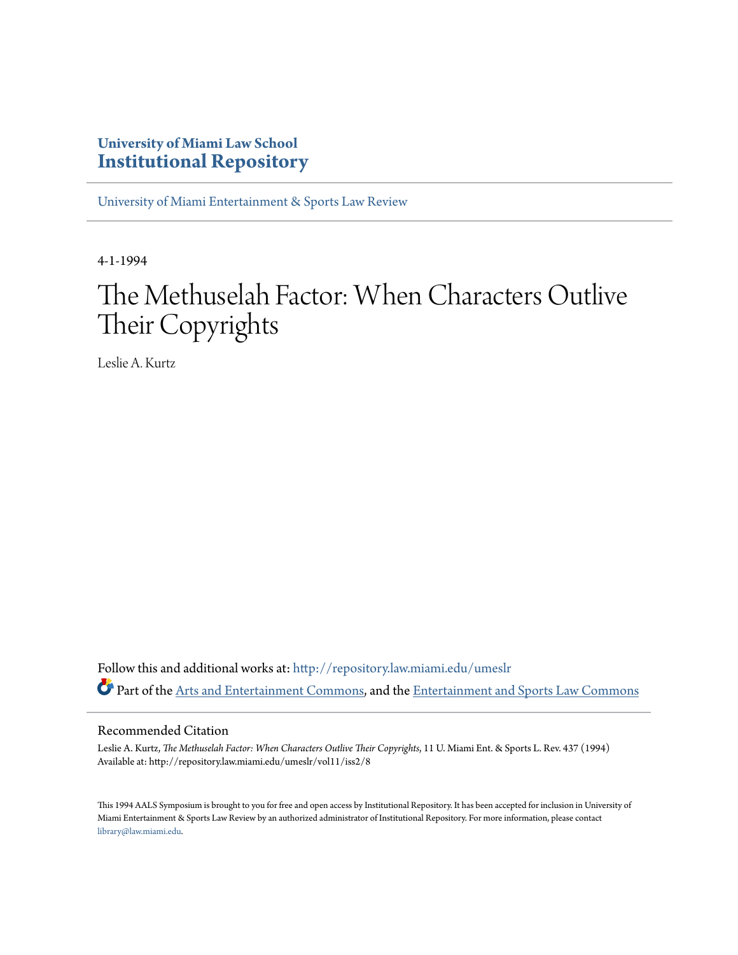# **University of Miami Law School [Institutional Repository](http://repository.law.miami.edu?utm_source=repository.law.miami.edu%2Fumeslr%2Fvol11%2Fiss2%2F8&utm_medium=PDF&utm_campaign=PDFCoverPages)**

[University of Miami Entertainment & Sports Law Review](http://repository.law.miami.edu/umeslr?utm_source=repository.law.miami.edu%2Fumeslr%2Fvol11%2Fiss2%2F8&utm_medium=PDF&utm_campaign=PDFCoverPages)

4-1-1994

# The Methuselah Factor: When Characters Outlive Their Copyrights

Leslie A. Kurtz

Follow this and additional works at: [http://repository.law.miami.edu/umeslr](http://repository.law.miami.edu/umeslr?utm_source=repository.law.miami.edu%2Fumeslr%2Fvol11%2Fiss2%2F8&utm_medium=PDF&utm_campaign=PDFCoverPages) Part of the [Arts and Entertainment Commons](http://network.bepress.com/hgg/discipline/832?utm_source=repository.law.miami.edu%2Fumeslr%2Fvol11%2Fiss2%2F8&utm_medium=PDF&utm_campaign=PDFCoverPages), and the [Entertainment and Sports Law Commons](http://network.bepress.com/hgg/discipline/893?utm_source=repository.law.miami.edu%2Fumeslr%2Fvol11%2Fiss2%2F8&utm_medium=PDF&utm_campaign=PDFCoverPages)

### Recommended Citation

Leslie A. Kurtz, *The Methuselah Factor: When Characters Outlive Their Copyrights*, 11 U. Miami Ent. & Sports L. Rev. 437 (1994) Available at: http://repository.law.miami.edu/umeslr/vol11/iss2/8

This 1994 AALS Symposium is brought to you for free and open access by Institutional Repository. It has been accepted for inclusion in University of Miami Entertainment & Sports Law Review by an authorized administrator of Institutional Repository. For more information, please contact [library@law.miami.edu](mailto:library@law.miami.edu).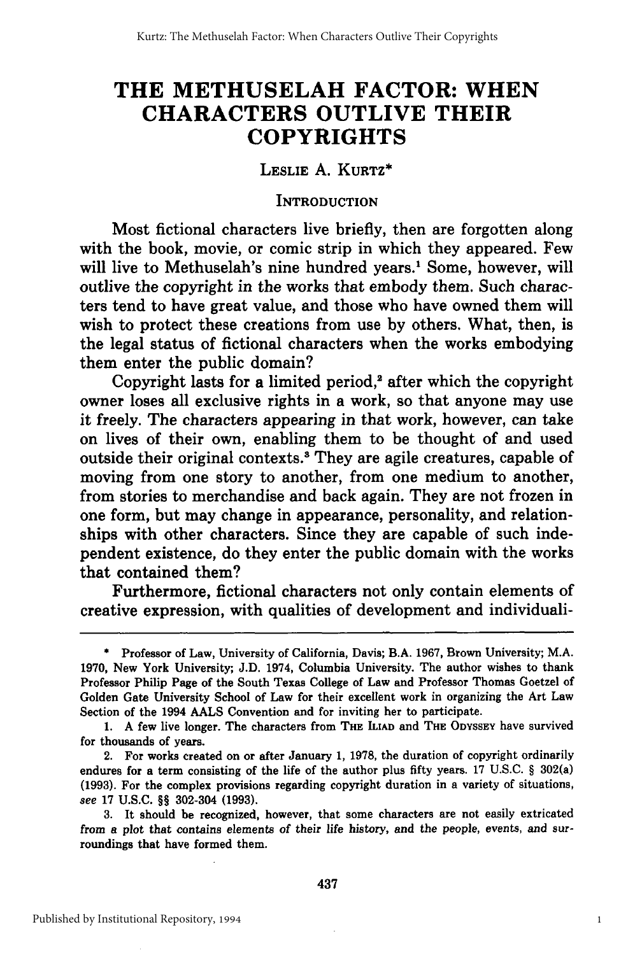# **THE METHUSELAH FACTOR: WHEN CHARACTERS OUTLIVE THEIR COPYRIGHTS**

**LESLIE A. KURTZ\***

#### **INTRODUCTION**

Most fictional characters live briefly, then are forgotten along with the book, movie, or comic strip in which they appeared. Few will live to Methuselah's nine hundred years.<sup>1</sup> Some, however, will outlive the copyright in the works that embody them. Such characters tend to have great value, and those who have owned them will wish to protect these creations from use **by** others. What, then, is the legal status of fictional characters when the works embodying them enter the public domain?

Copyright lasts for a limited period,<sup>2</sup> after which the copyright owner loses all exclusive rights in a work, so that anyone may use it freely. The characters appearing in that work, however, can take on lives of their own, enabling them to be thought of and used outside their original contexts.' They are agile creatures, capable of moving from one story to another, from one medium to another, from stories to merchandise and back again. They are not frozen in one form, but may change in appearance, personality, and relationships with other characters. Since they are capable of such independent existence, do they enter the public domain with the works that contained them?

Furthermore, fictional characters not only contain elements of creative expression, with qualities of development and individuali-

**<sup>\*</sup>** Professor of Law, University of California, Davis; B.A. **1967,** Brown University; M.A. **1970,** New York University; **J.D.** 1974, Columbia University. The author wishes to thank Professor Philip Page of the South Texas College of Law and Professor Thomas Goetzel of Golden Gate University School of Law for their excellent work in organizing the Art Law Section of the 1994 **AALS** Convention and for inviting her to participate.

**<sup>1.</sup> A** few live longer. The characters from **THE ILIAD** and **THE ODYSSEY** have survived for thousands of years.

<sup>2.</sup> For works created on or after January **1, 1978,** the duration of copyright ordinarily endures for a term consisting of the life of the author plus fifty years. **17** U.S.C. § 302(a) **(1993).** For the complex provisions regarding copyright duration in a variety of situations, *see* 17 U.S.C. §§ 302-304 **(1993).**

**<sup>3.</sup>** It should be recognized, however, that some characters are not easily extricated from a plot that contains elements of their life history, and the people, events, and surroundings that have formed them.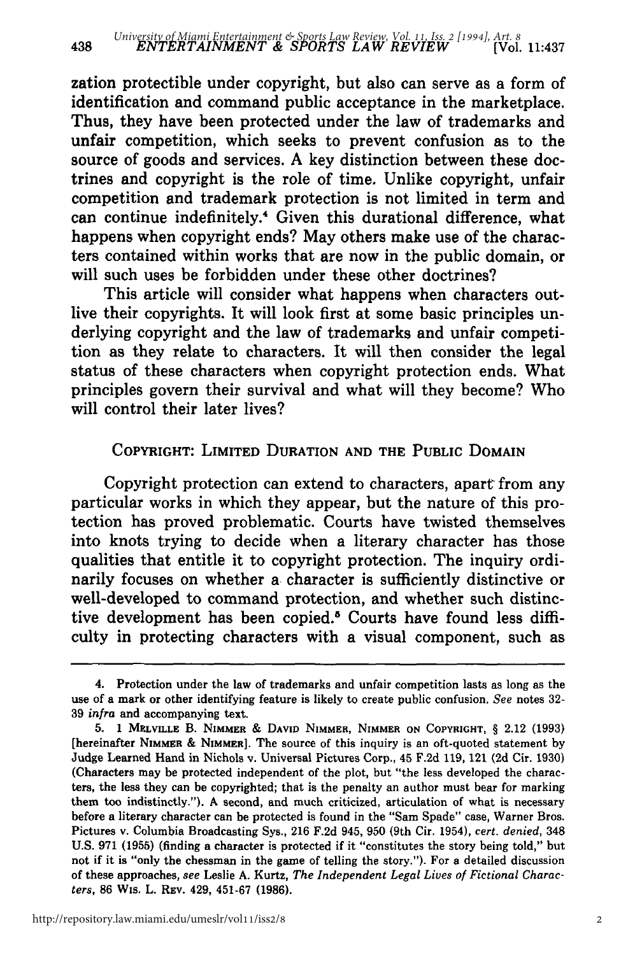zation protectible under copyright, but also can serve as a form of identification and command public acceptance in the marketplace. Thus, they have been protected under the law of trademarks and unfair competition, which seeks to prevent confusion as to the source of goods and services. A key distinction between these doctrines and copyright is the role of time. Unlike copyright, unfair competition and trademark protection is not limited in term and can continue indefinitely." Given this durational difference, what happens when copyright ends? May others make use of the characters contained within works that are now in the public domain, or will such uses be forbidden under these other doctrines?

This article will consider what happens when characters outlive their copyrights. It will look first at some basic principles underlying copyright and the law of trademarks and unfair competition as they relate to characters. It will then consider the legal status of these characters when copyright protection ends. What principles govern their survival and what will they become? Who will control their later lives?

# COPYRIGHT: LIMITED **DURATION AND** THE PUBLIC DOMAIN

Copyright protection can extend to characters, apart from any particular works in which they appear, but the nature of this protection has proved problematic. Courts have twisted themselves into knots trying to decide when a literary character has those qualities that entitle it to copyright protection. The inquiry ordinarily focuses on whether a character is sufficiently distinctive or well-developed to command protection, and whether such distinctive development has been copied.<sup>5</sup> Courts have found less difficulty in protecting characters with a visual component, such as

438

<sup>4.</sup> Protection under the law of trademarks and unfair competition lasts as long as the use of a mark or other identifying feature is likely to create public confusion. See notes **32- 39** *infra* and accompanying text.

**<sup>5. 1</sup> MELVILLE** B. **NIMMER & DAVID NIMMER,** NIMMER **ON COPYRIGHT,** § 2.12 **(1993)** [hereinafter NIMMER **&** NIMmER]. The source of this inquiry is an oft-quoted statement **by** Judge Learned Hand in Nichols v. Universal Pictures Corp., 45 **F.2d 119,** 121 **(2d** Cir. **1930)** (Characters may be protected independent of the plot, but "the less developed the characters, the less they can be copyrighted; that is the penalty an author must bear for marking them too indistinctly."). **A** second, and much criticized, articulation of what is necessary before a literary character can be protected is found in the "Sam Spade" case, Warner Bros. Pictures v. Columbia Broadcasting Sys., **216 F.2d** 945, **950** (9th Cir. 1954), *cert. denied,* 348 **U.S. 971 (1955)** (finding a character is protected if it "constitutes the story being told," but not if it is "only the chessman in the game of telling the story."). For a detailed discussion of these approaches, *see* Leslie **A.** Kurtz, *The Independent Legal Lives of Fictional Characters,* **86** Wis. L. **REV.** 429, **451-67 (1986).**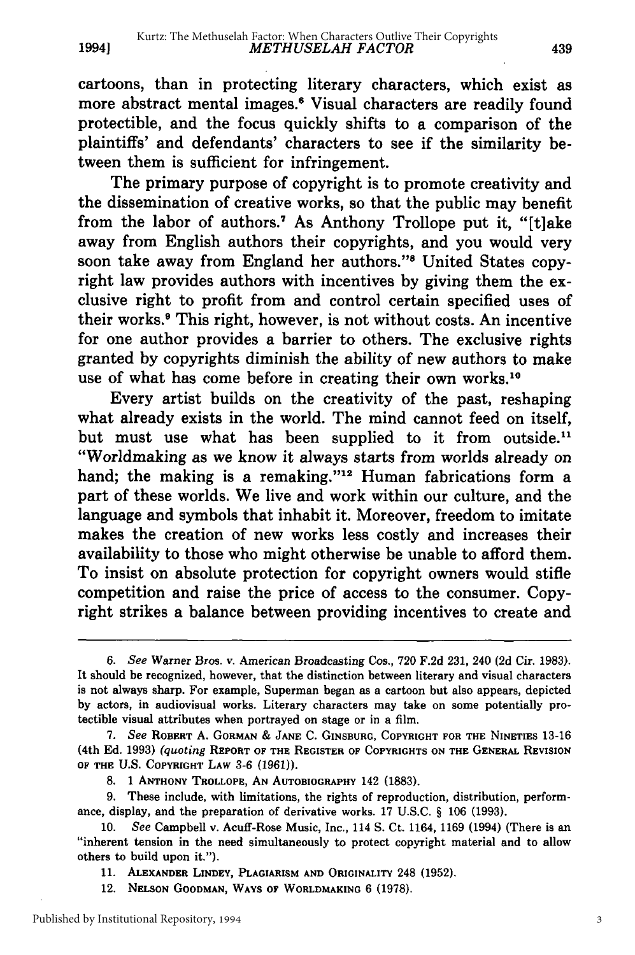cartoons, than in protecting literary characters, which exist as more abstract mental images.6 Visual characters are readily found protectible, and the focus quickly shifts to a comparison of the plaintiffs' and defendants' characters to see if the similarity between them is sufficient for infringement.

The primary purpose of copyright is to promote creativity and the dissemination of creative works, so that the public may benefit from the labor of authors.<sup>7</sup> As Anthony Trollope put it, "[t]ake away from English authors their copyrights, and you would very soon take away from England her authors."<sup>8</sup> United States copyright law provides authors with incentives by giving them the exclusive right to profit from and control certain specified uses of their works.9 This right, however, is not without costs. An incentive for one author provides a barrier to others. The exclusive rights granted by copyrights diminish the ability of new authors to make use of what has come before in creating their own works.<sup>10</sup>

Every artist builds on the creativity of the past, reshaping what already exists in the world. The mind cannot feed on itself, but must use what has been supplied to it from outside.<sup>1</sup> "Worldmaking as we know it always starts from worlds already on hand; the making is a remaking."<sup>12</sup> Human fabrications form a part of these worlds. We live and work within our culture, and the language and symbols that inhabit it. Moreover, freedom to imitate makes the creation of new works less costly and increases their availability to those who might otherwise be unable to afford them. To insist on absolute protection for copyright owners would stifle competition and raise the price of access to the consumer. Copyright strikes a balance between providing incentives to create and

*<sup>6.</sup> See* Warner Bros. v. American Broadcasting Cos., **720** F.2d 231, 240 **(2d** Cir. 1983). It should be recognized, however, that the distinction between literary and visual characters is not always sharp. For example, Superman began as a cartoon but also appears, depicted by actors, in audiovisual works. Literary characters may take on some potentially protectible visual attributes when portrayed on stage or in a film.

**<sup>7.</sup>** *See* **ROBERT A. GORMAN & JANE C. GINSBURG, COPYRIGHT FOR THE NINETIES 13-16** (4th **Ed. 1993)** *(quoting* REPORT **OF THE REGISTER OF COPYRIGHTS ON THE GENERAL REVISION OF THE U.S. COPYRIGHT LAW 3-6 (1961)).**

**<sup>8. 1</sup> ANTHONY TROLLOPE, AN AUTOBIOGRAPHY** 142 **(1883).**

**<sup>9.</sup>** These include, with limitations, the rights of reproduction, distribution, performance, display, and the preparation of derivative works. **17 U.S.C.** § **106 (1993).**

**<sup>10.</sup>** *See* Campbell v. Acuff-Rose Music, Inc., 114 **S.** Ct. 1164, 1169 (1994) (There is an "inherent tension in the need simultaneously to protect copyright material and to allow others to build upon it.").

**<sup>11.</sup> ALEXANDER LINDEY, PLAGIARISM AND ORIGINALITY** 248 (1952).

<sup>12.</sup> **NELSON GOODMAN, WAYS OF WORLDMAKING** 6 **(1978).**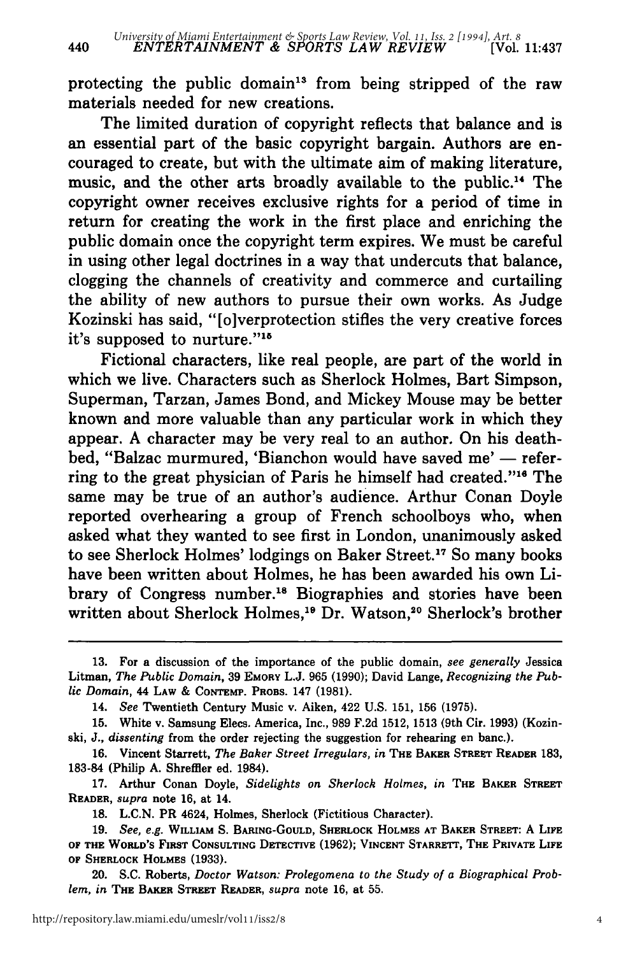protecting the public domain<sup>13</sup> from being stripped of the raw materials needed for new creations.

The limited duration of copyright reflects that balance and is an essential part of the basic copyright bargain. Authors are encouraged to create, but with the ultimate aim of making literature, music, and the other arts broadly available to the public.<sup>14</sup> The copyright owner receives exclusive rights for a period of time in return for creating the work in the first place and enriching the public domain once the copyright term expires. We must be careful in using other legal doctrines in a way that undercuts that balance, clogging the channels of creativity and commerce and curtailing the ability of new authors to pursue their own works. As Judge Kozinski has said, "[o]verprotection stifles the very creative forces it's supposed to nurture."<sup>15</sup>

Fictional characters, like real people, are part of the world in which we live. Characters such as Sherlock Holmes, Bart Simpson, Superman, Tarzan, James Bond, and Mickey Mouse may be better known and more valuable than any particular work in which they appear. A character may be very real to an author. On his deathbed, "Balzac murmured, 'Bianchon would have saved me' - referring to the great physician of Paris he himself had created."<sup>16</sup> The same may be true of an author's audience. Arthur Conan Doyle reported overhearing a group of French schoolboys who, when asked what they wanted to see first in London, unanimously asked to see Sherlock Holmes' lodgings on Baker Street.17 So many books have been written about Holmes, he has been awarded his own Library of Congress number.<sup>18</sup> Biographies and stories have been written about Sherlock Holmes,<sup>19</sup> Dr. Watson,<sup>20</sup> Sherlock's brother

<sup>13.</sup> For a discussion of the importance of the public domain, *see generally* Jessica Litman, *The Public Domain,* 39 **EMORY** L.J. 965 (1990); David Lange, *Recognizing the Public Domain,* 44 LAW & **CONtEMP.** PROBS. 147 (1981).

<sup>14.</sup> *See* Twentieth Century Music v. Aiken, 422 U.S. 151, 156 (1975).

<sup>15.</sup> White v. Samsung Elecs. America, Inc., 989 F.2d 1512, 1513 (9th Cir. 1993) (Kozinski, J., *dissenting* from the order rejecting the suggestion for rehearing en banc.).

**<sup>16.</sup>** Vincent Starrett, *The Baker Street Irregulars, in* **THE BAKER STREET READER** 183, **183-84** (Philip **A.** Shreffler ed. 1984).

**<sup>17.</sup>** Arthur Conan Doyle, *Sidelights on Sherlock Holmes, in* **THE BAKER STREET READER,** *supra* note **16, at 14.**

**<sup>18.</sup> L.C.N.** PR 4624, **Holmes, Sherlock (Fictitious Character).**

**<sup>19.</sup>** *See, e.g.* **WILLIAM S. BARING-GoULD, SHERLOCK HOLMES AT BAKER STREET: A LIFE OF THE WORLD'S FIRST CONSULTING DETECTIVE (1962); VINCENT STARRETT, THE PRIVATE LIFE OF SHERLOCK HOLMES (1933).**

<sup>20.</sup> **S.C. Roberts,** *Doctor Watson: Prolegomena to the Study of a Biographical Problem, in* **THE BAKER STREET READER,** *supra* **note 16, at 55.**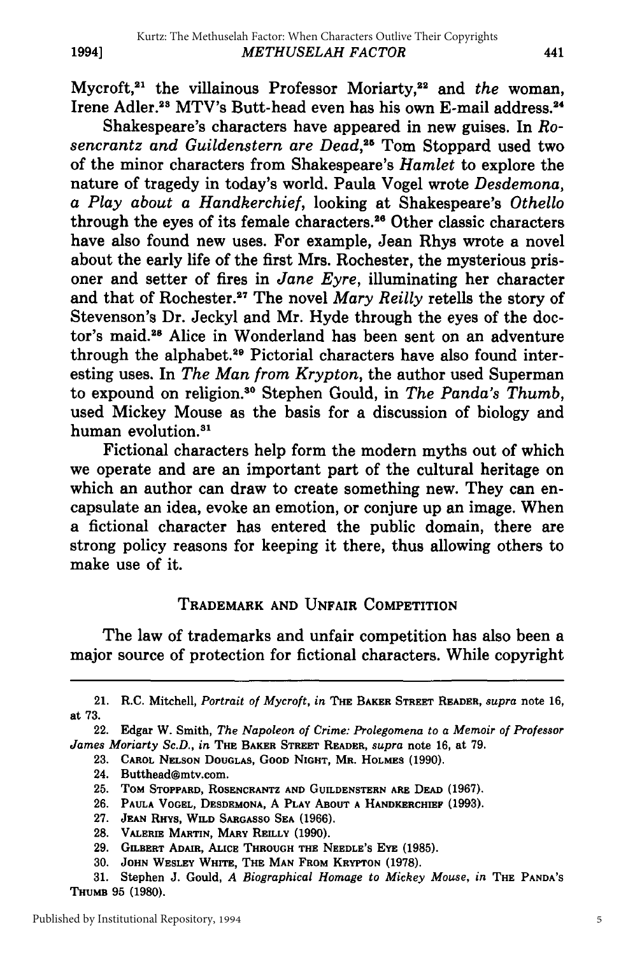Mycroft,<sup>21</sup> the villainous Professor Moriarty,<sup>22</sup> and *the* woman Irene Adler.<sup>28</sup> MTV's Butt-head even has his own E-mail address.<sup>24</sup>

Shakespeare's characters have appeared in new guises. In *Rosencrantz and Guildenstern are Dead,26* Tom Stoppard used two of the minor characters from Shakespeare's *Hamlet* to explore the nature of tragedy in today's world. Paula Vogel wrote *Desdemona, a Play about a Handkerchief,* looking at Shakespeare's *Othello* through the eyes of its female characters.<sup>26</sup> Other classic characters have also found new uses. For example, Jean Rhys wrote a novel about the early life of the first Mrs. Rochester, the mysterious prisoner and setter of fires in *Jane Eyre,* illuminating her character and that of Rochester.<sup>27</sup> The novel Mary Reilly retells the story of Stevenson's Dr. Jeckyl and Mr. Hyde through the eyes of the doctor's maid.<sup>28</sup> Alice in Wonderland has been sent on an adventure through the alphabet.<sup>29</sup> Pictorial characters have also found interesting uses. In *The Man from Krypton,* the author used Superman to expound on religion.80 Stephen Gould, in *The Panda's Thumb,* used Mickey Mouse as the basis for a discussion of biology and human evolution.<sup>31</sup>

Fictional characters help form the modern myths out of which we operate and are an important part of the cultural heritage on which an author can draw to create something new. They can encapsulate an idea, evoke an emotion, or conjure up an image. When a fictional character has entered the public domain, there are strong policy reasons for keeping it there, thus allowing others to make use of it.

## TRADEMARK **AND** UNFAIR COMPETITION

The law of trademarks and unfair competition has also been a major source of protection for fictional characters. While copyright

- **27.** JEAN **RHYs, WILD SARGASSO SEA (1966).**
- **28. VALERIE** MARTIN, MARY **REILLY (1990).**
- **29. GILBERT ADAIR, ALICE THROUGH THE NEEDLE'S EYE (1985).**
- **30. JOHN WESLEY WHITE, THE MAN FROM** KRYPTON **(1978).**

**31.** Stephen J. Gould, *A Biographical Homage to Mickey Mouse, in* **THE PANDA'S THUMB 95 (1980).**

5

<sup>21.</sup> R.C. Mitchell, *Portrait of Mycroft, in* **THE BAKER STREET** READER, *supra* note **16,** at **73.**

<sup>22.</sup> Edgar W. Smith, *The Napoleon of Crime: Prolegomena to a Memoir of Professor James Moriarty Sc.D., in* **THE** BAKER **STREET** READER, *supra* note 16, at 79.

**<sup>23.</sup> CAROL NELSON DOUGLAS, GOOD NIGHT, MR.** HOLMES **(1990).**

<sup>24.</sup> Butthead@mtv.com.

**<sup>25.</sup> ToM** STOPPARD, **ROSENCRANTZ AND GUILDENSTERN** ARE DEAD **(1967).**

**<sup>26.</sup> PAULA VOGEL, DESDEMONA,** A **PLAY ABOUT A HANDKERCHIEF (1993).**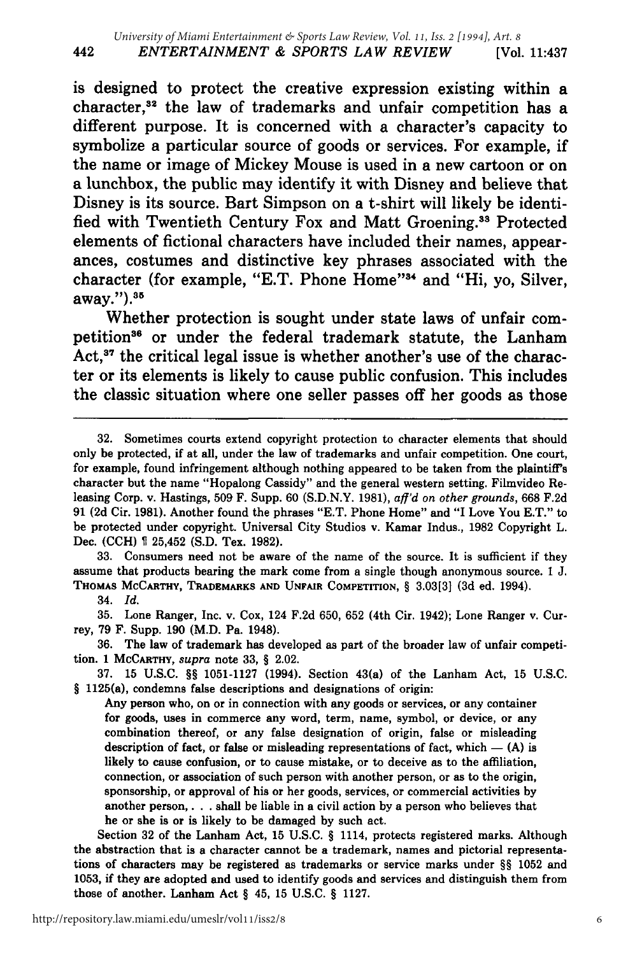is designed to protect the creative expression existing within a character,<sup>32</sup> the law of trademarks and unfair competition has a different purpose. It is concerned with a character's capacity to symbolize a particular source of goods or services. For example, if the name or image of Mickey Mouse is used in a new cartoon or on a lunchbox, the public may identify it with Disney and believe that Disney is its source. Bart Simpson on a t-shirt will likely be identified with Twentieth Century Fox and Matt Groening.<sup>33</sup> Protected elements of fictional characters have included their names, appearances, costumes and distinctive key phrases associated with the character (for example, "E.T. Phone Home"<sup>34</sup> and "Hi, yo, Silver, away.").35

Whether protection is sought under state laws of unfair competition<sup>36</sup> or under the federal trademark statute, the Lanham Act, $37$  the critical legal issue is whether another's use of the character or its elements is likely to cause public confusion. This includes the classic situation where one seller passes off her goods as those

33. Consumers need not be aware of the name of the source. It is sufficient if they assume that products bearing the mark come from a single though anonymous source. 1 J. **THOMAS McCARTHY, TRADEMARKS AND UNFAIR** COMPETITION, § **3.03[3] (3d** ed. 1994).

34. *Id.*

**35.** Lone Ranger, Inc. v. Cox, 124 **F.2d 650, 652** (4th Cir. 1942); Lone Ranger v. Currey, **79** F. Supp. **190** (M.D. Pa. 1948).

**36.** The law of trademark has developed as part of the broader law of unfair competition. **1 McCARTHY,** *supra* note **33,** § 2.02.

37. 15 U.S.C. *§§* 1051-1127 (1994). Section 43(a) of the Lanham Act, 15 U.S.C. *§* 1125(a), condemns false descriptions and designations of origin:

Any person who, on or in connection with any goods or services, or any container for goods, uses in commerce any word, term, name, symbol, or device, or any combination thereof, or any false designation of origin, false or misleading description of fact, or false or misleading representations of fact, which  $-$  (A) is likely to cause confusion, or to cause mistake, or to deceive as to the affiliation, connection, or association of such person with another person, or as to the origin, sponsorship, or approval of his or her goods, services, or commercial activities **by** another person,. . . shall be liable in a civil action **by** a person who believes that he or she is or is likely to be damaged **by** such act.

Section **32** of the Lanham Act, **15 U.S.C.** § 1114, protects registered marks. Although the abstraction that is a character cannot be a trademark, names and pictorial representations of characters may be registered as trademarks or service marks under *§§* **1052** and **1053,** if they are adopted and used to identify goods and services and distinguish them from those of another. Lanham Act § 45, **15 U.S.C.** § **1127.**

<sup>32.</sup> Sometimes courts extend copyright protection to character elements that should only be protected, if at all, under the law of trademarks and unfair competition. One court, for example, found infringement although nothing appeared to be taken from the plaintiff's character but the name "Hopalong Cassidy" and the general western setting. Filmvideo Releasing Corp. v. Hastings, 509 F. Supp. 60 (S.D.N.Y. 1981), *aff'd on other grounds,* 668 F.2d 91 **(2d** Cir. 1981). Another found the phrases "E.T. Phone Home" and "I Love You E.T." to be protected under copyright. Universal City Studios v. Kamar Indus., 1982 Copyright L. Dec. (CCH) 25,452 (S.D. Tex. 1982).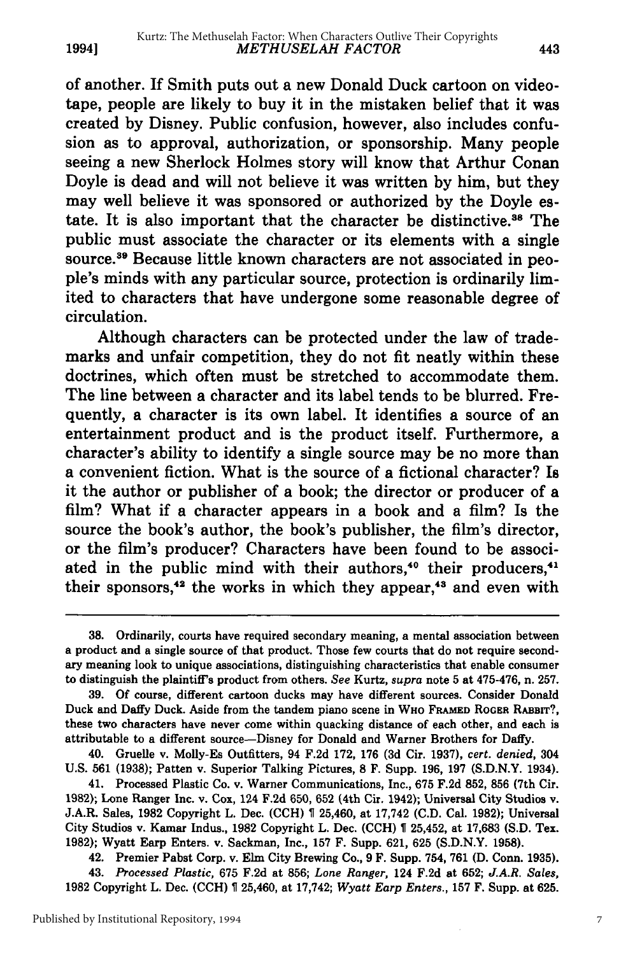of another. If Smith puts out a new Donald Duck cartoon on videotape, people are likely to buy it in the mistaken belief that it was created by Disney. Public confusion, however, also includes confusion as to approval, authorization, or sponsorship. Many people seeing a new Sherlock Holmes story will know that Arthur Conan Doyle is dead and will not believe it was written by him, but they may well believe it was sponsored or authorized by the Doyle estate. It is also important that the character be distinctive.38 The public must associate the character or its elements with a single source.39 Because little known characters are not associated in people's minds with any particular source, protection is ordinarily limited to characters that have undergone some reasonable degree of circulation.

Although characters can be protected under the law of trademarks and unfair competition, they do not fit neatly within these doctrines, which often must be stretched to accommodate them. The line between a character and its label tends to be blurred. Frequently, a character is its own label. It identifies a source of an entertainment product and is the product itself. Furthermore, a character's ability to identify a single source may be no more than a convenient fiction. What is the source of a fictional character? Is it the author or publisher of a book; the director or producer of a film? What if a character appears in a book and a film? Is the source the book's author, the book's publisher, the film's director, or the film's producer? Characters have been found to be associated in the public mind with their authors,<sup>40</sup> their producers,<sup>41</sup> their sponsors,<sup>42</sup> the works in which they appear,<sup>43</sup> and even with

41. Processed Plastic Co. v. Warner Communications, Inc., 675 F.2d 852, 856 (7th Cir. **1982);** Lone Ranger Inc. **v.** Cox, 124 **F.2d** 650, **652** (4th Cir. 1942); Universal City Studios v. J.A.R. Sales, 1982 Copyright L. Dec. (CCH) 25,460, at 17,742 (C.D. Cal. 1982); Universal City Studios v. Kamar Indus., 1982 Copyright L. Dec. **(CCH)** 25,452, at 17,683 **(S.D.** Tex. 1982); Wyatt Earp Enters. v. Sackman, Inc., 157 F. Supp. 621, 625 (S.D.N.Y. 1958).

42. Premier Pabst Corp. v. Elm City Brewing Co., 9 F. Supp. 754, 761 (D. Conn. 1935).

43. *Processed Plastic,* 675 F.2d at 856; *Lone Ranger,* 124 F.2d at 652; *J.A.R. Sales,* 1982 Copyright L. Dec. (CCH) 25,460, at 17,742; *Wyatt Earp Enters.,* 157 F. Supp. at 625.

**1994]**

<sup>38.</sup> Ordinarily, courts have required secondary meaning, a mental association between a product and a single source of that product. Those few courts that do not require secondary meaning look to unique associations, distinguishing characteristics that enable consumer to distinguish the plaintiff's product from others. *See* Kurtz, *supra* note 5 at 475-476, n. 257.

<sup>39.</sup> Of course, different cartoon ducks may have different sources. Consider Donald Duck and Daffy Duck. Aside from the tandem piano scene in WHO FRAMED ROGER RABBIT?, these two characters have never come within quacking distance of each other, and each is attributable to a different source-Disney for Donald and Warner Brothers for Daffy.

<sup>40.</sup> Gruelle v. Molly-Es Outfitters, 94 F.2d 172, 176 (3d Cir. 1937), *cert. denied,* 304 U.S. 561 (1938); Patten v. Superior Talking Pictures, 8 F. Supp. 196, 197 (S.D.N.Y. 1934).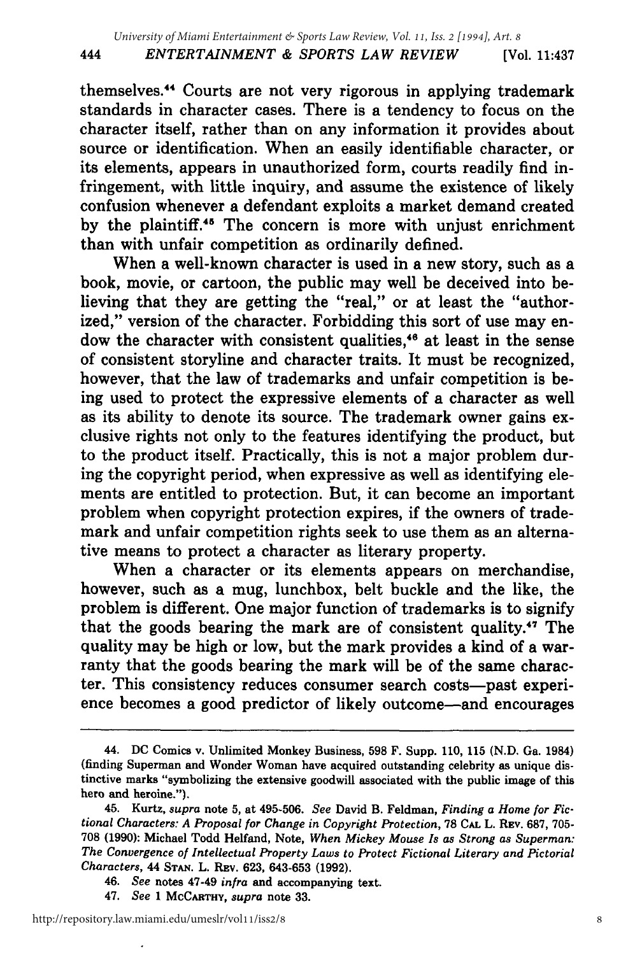themselves.<sup>44</sup> Courts are not very rigorous in applying trademark standards in character cases. There is a tendency to focus on the character itself, rather than on any information it provides about source or identification. When an easily identifiable character, or its elements, appears in unauthorized form, courts readily find infringement, with little inquiry, and assume the existence of likely confusion whenever a defendant exploits a market demand created by the plaintiff.45 The concern is more with unjust enrichment than with unfair competition as ordinarily defined.

When a well-known character is used in a new story, such as a book, movie, or cartoon, the public may well be deceived into believing that they are getting the "real," or at least the "authorized," version of the character. Forbidding this sort of use may endow the character with consistent qualities,<sup>46</sup> at least in the sense of consistent storyline and character traits. It must be recognized, however, that the law of trademarks and unfair competition is being used to protect the expressive elements of a character as well as its ability to denote its source. The trademark owner gains exclusive rights not only to the features identifying the product, but to the product itself. Practically, this is not a major problem during the copyright period, when expressive as well as identifying elements are entitled to protection. But, it can become an important problem when copyright protection expires, if the owners of trademark and unfair competition rights seek to use them as an alternative means to protect a character as literary property.

When a character or its elements appears on merchandise, however, such as a mug, lunchbox, belt buckle and the like, the problem is different. One major function of trademarks is to signify that the goods bearing the mark are of consistent quality.<sup>47</sup> The quality may be high or low, but the mark provides a kind of a warranty that the goods bearing the mark will be of the same character. This consistency reduces consumer search costs—past experience becomes a good predictor of likely outcome-and encourages

47. *See* **1** McCARTHY, *supra* note 33.

444

<sup>44.</sup> DC Comics v. Unlimited Monkey Business, 598 F. Supp. 110, 115 (N.D. Ga. 1984) (finding Superman and Wonder Woman have acquired outstanding celebrity as unique distinctive marks "symbolizing the extensive goodwill associated with the public image of this hero and heroine.").

<sup>45.</sup> Kurtz, *supra* note 5, at 495-506. *See* David B. Feldman, *Finding a Home for Fictional Characters: A Proposal for Change in Copyright Protection,* **78 CAL** L. REv. 687, 705- 708 (1990): Michael Todd Helfand, Note, *When Mickey Mouse Is as Strong as Superman: The Convergence of Intellectual Property Laws to Protect Fictional Literary and Pictorial Characters,* 44 **STAN.** L. Rv. 623, 643-653 (1992).

<sup>46.</sup> *See* notes 47-49 *infra* and accompanying text.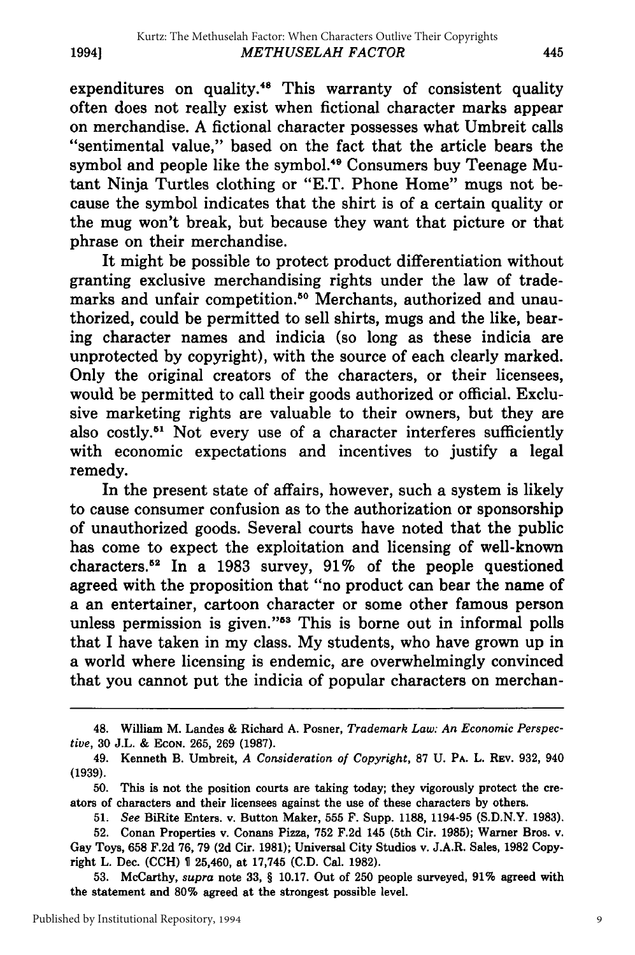expenditures on quality.<sup>48</sup> This warranty of consistent quality often does not really exist when fictional character marks appear on merchandise. A fictional character possesses what Umbreit calls "sentimental value," based on the fact that the article bears the symbol and people like the symbol.<sup>49</sup> Consumers buy Teenage Mutant Ninja Turtles clothing or "E.T. Phone Home" mugs not because the symbol indicates that the shirt is of a certain quality or the mug won't break, but because they want that picture or that phrase on their merchandise.

It might be possible to protect product differentiation without granting exclusive merchandising rights under the law of trademarks and unfair competition.<sup>50</sup> Merchants, authorized and unauthorized, could be permitted to sell shirts, mugs and the like, bearing character names and indicia (so long as these indicia are unprotected by copyright), with the source of each clearly marked. Only the original creators of the characters, or their licensees, would be permitted to call their goods authorized or official. Exclusive marketing rights are valuable to their owners, but they are also costly.<sup>51</sup> Not every use of a character interferes sufficiently with economic expectations and incentives to justify a legal remedy.

In the present state of affairs, however, such a system is likely to cause consumer confusion as to the authorization or sponsorship of unauthorized goods. Several courts have noted that the public has come to expect the exploitation and licensing of well-known characters.2 In a 1983 survey, 91% of the people questioned agreed with the proposition that "no product can bear the name of a an entertainer, cartoon character or some other famous person unless permission is given."53 This is borne out in informal polls that I have taken in my class. My students, who have grown up in a world where licensing is endemic, are overwhelmingly convinced that you cannot put the indicia of popular characters on merchan-

**53.** McCarthy, *supra* note **33,** § **10.17.** Out of **250** people surveyed, **91%** agreed with the statement and **80%** agreed at the strongest possible level.

<sup>48.</sup> William M. Landes & Richard A. Posner, *Trademark Law: An Economic Perspective,* 30 J.L. **&** ECON. 265, 269 (1987).

<sup>49.</sup> Kenneth B. Umbreit, *A Consideration of Copyright,* 87 U. PA. L. REV. 932, 940 **(1939).**

**<sup>50.</sup>** This is not the position courts are taking today; they vigorously protect the creators of characters and their licensees against the use of these characters **by** others.

*<sup>51.</sup> See* BiRite Enters. v. Button Maker, **555** F. Supp. **1188,** 1194-95 **(S.D.N.Y. 1983).**

**<sup>52.</sup>** Conan Properties v. Conans Pizza, **752 F.2d** 145 (5th Cir. **1985);** Warner Bros. v. Gay Toys, **658 F.2d 76, 79 (2d** Cir. **1981);** Universal City Studios v. **J.A.R.** Sales, **1982** Copyright L. Dec. **(CCH) 1** 25,460, at **17,745 (C.D.** Cal. **1982).**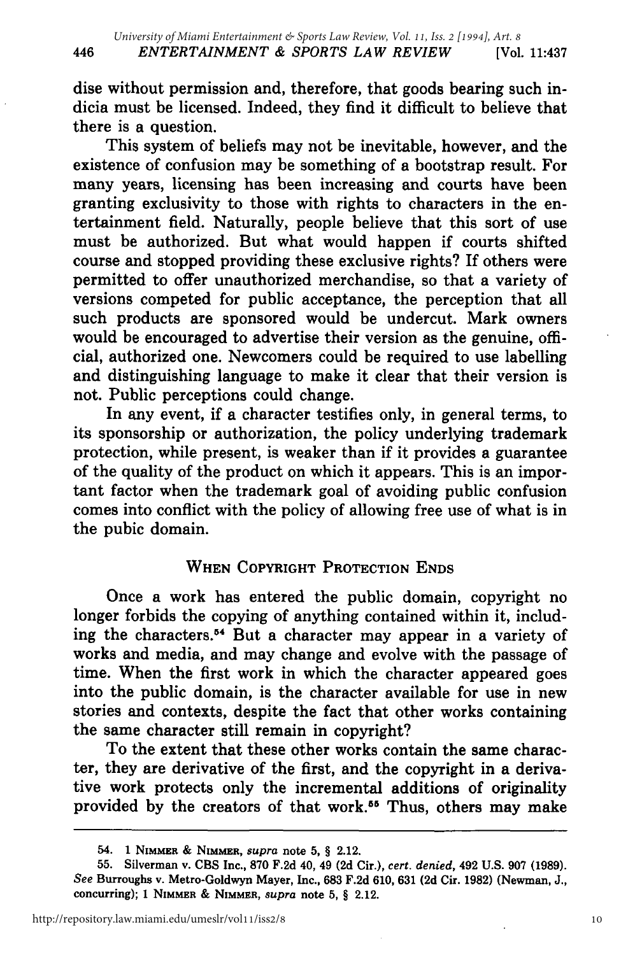dise without permission and, therefore, that goods bearing such indicia must be licensed. Indeed, they find it difficult to believe that there is a question.

This system of beliefs may not be inevitable, however, and the existence of confusion may be something of a bootstrap result. For many years, licensing has been increasing and courts have been granting exclusivity to those with rights to characters in the entertainment field. Naturally, people believe that this sort of use must be authorized. But what would happen if courts shifted course and stopped providing these exclusive rights? If others were permitted to offer unauthorized merchandise, so that a variety of versions competed for public acceptance, the perception that all such products are sponsored would be undercut. Mark owners would be encouraged to advertise their version as the genuine, official, authorized one. Newcomers could be required to use labelling and distinguishing language to make it clear that their version is not. Public perceptions could change.

In any event, if a character testifies only, in general terms, to its sponsorship or authorization, the policy underlying trademark protection, while present, is weaker than if it provides a guarantee of the quality of the product on which it appears. This is an important factor when the trademark goal of avoiding public confusion comes into conflict with the policy of allowing free use of what is in the pubic domain.

## **WHEN** COPYRIGHT PROTECTION **ENDS**

Once a work has entered the public domain, copyright no longer forbids the copying of anything contained within it, including the characters.<sup>54</sup> But a character may appear in a variety of works and media, and may change and evolve with the passage of time. When the first work in which the character appeared goes into the public domain, is the character available for use in new stories and contexts, despite the fact that other works containing the same character still remain in copyright?

To the extent that these other works contain the same character, they are derivative of the first, and the copyright in a derivative work protects only the incremental additions of originality provided by the creators of that work.<sup>55</sup> Thus, others may make

<sup>54.</sup> **1 NiMaiR** & **NIMMER,** *supra* note **5,** § 2.12.

**<sup>55.</sup>** Silverman v. **CBS** Inc., **870 F.2d** 40, 49 **(2d** Cir.), *cert. denied,* 492 **U.S. 907 (1989).** *See* Burroughs v. Metro-Goldwyn Mayer, Inc., **683 F.2d 610, 631 (2d** Cir. **1982)** (Newman, **J.,** concurring); **1 NIMMER & NIMMER,** *supra* note **5,** § 2.12.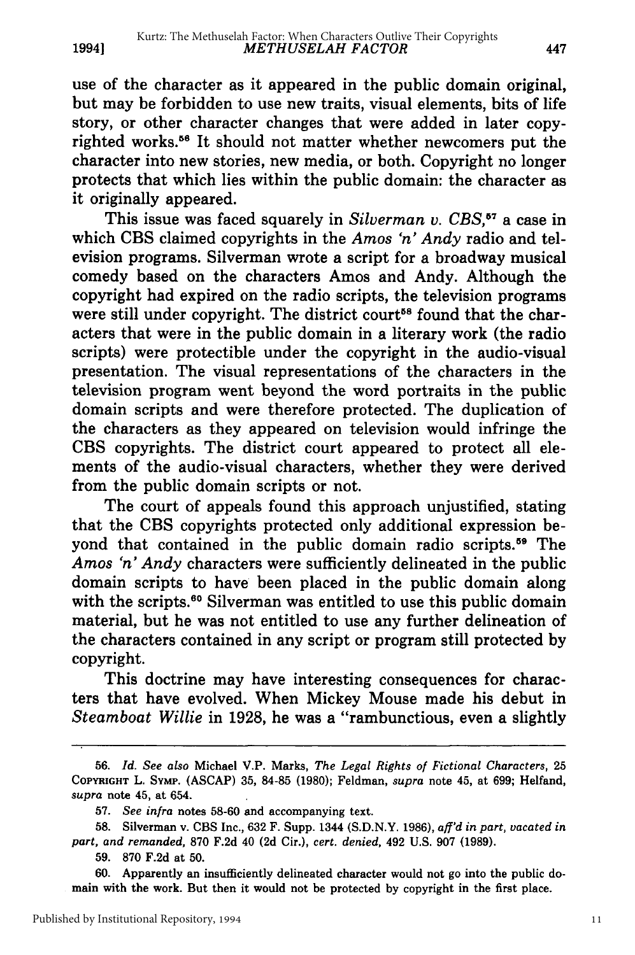**19941**

use of the character as it appeared in the public domain original, but may be forbidden to use new traits, visual elements, bits of life story, or other character changes that were added in later copyrighted works.<sup>56</sup> It should not matter whether newcomers put the character into new stories, new media, or both. Copyright no longer protects that which lies within the public domain: the character as it originally appeared.

This issue was faced squarely in *Silverman v. CBS,5 <sup>7</sup>*a case in which CBS claimed copyrights in the *Amos 'n' Andy* radio and television programs. Silverman wrote a script for a broadway musical comedy based on the characters Amos and Andy. Although the copyright had expired on the radio scripts, the television programs were still under copyright. The district court<sup>58</sup> found that the characters that were in the public domain in a literary work (the radio scripts) were protectible under the copyright in the audio-visual presentation. The visual representations of the characters in the television program went beyond the word portraits in the public domain scripts and were therefore protected. The duplication of the characters as they appeared on television would infringe the CBS copyrights. The district court appeared to protect all elements of the audio-visual characters, whether they were derived from the public domain scripts or not.

The court of appeals found this approach unjustified, stating that the CBS copyrights protected only additional expression beyond that contained in the public domain radio scripts.<sup>59</sup> The *Amos 'n' Andy* characters were sufficiently delineated in the public domain scripts to have been placed in the public domain along with the scripts.<sup>60</sup> Silverman was entitled to use this public domain material, but he was not entitled to use any further delineation of the characters contained in any script or program still protected by copyright.

This doctrine may have interesting consequences for characters that have evolved. When Mickey Mouse made his debut in *Steamboat Willie* in 1928, he was a "rambunctious, even a slightly

<sup>56.</sup> *Id. See also* Michael V.P. Marks, *The Legal Rights of Fictional Characters,* 25 **COPYRIGHT** L. SYMp. (ASCAP) 35, 84-85 (1980); Feldman, *supra* note 45, at 699; Helfand, *supra* note 45, at 654.

<sup>57.</sup> *See infra* notes 58-60 and accompanying text.

<sup>58.</sup> Silverman v. CBS Inc., 632 F. Supp. 1344 (S.D.N.Y. 1986), *aff'd in part, vacated in part, and remanded,* 870 F.2d 40 (2d Cir.), *cert. denied,* 492 U.S. 907 (1989).

<sup>59. 870</sup> F.2d at 50.

**<sup>60.</sup>** Apparently an insufficiently delineated character would not go into the public domain with the work. But then it would not be protected by copyright in the first place.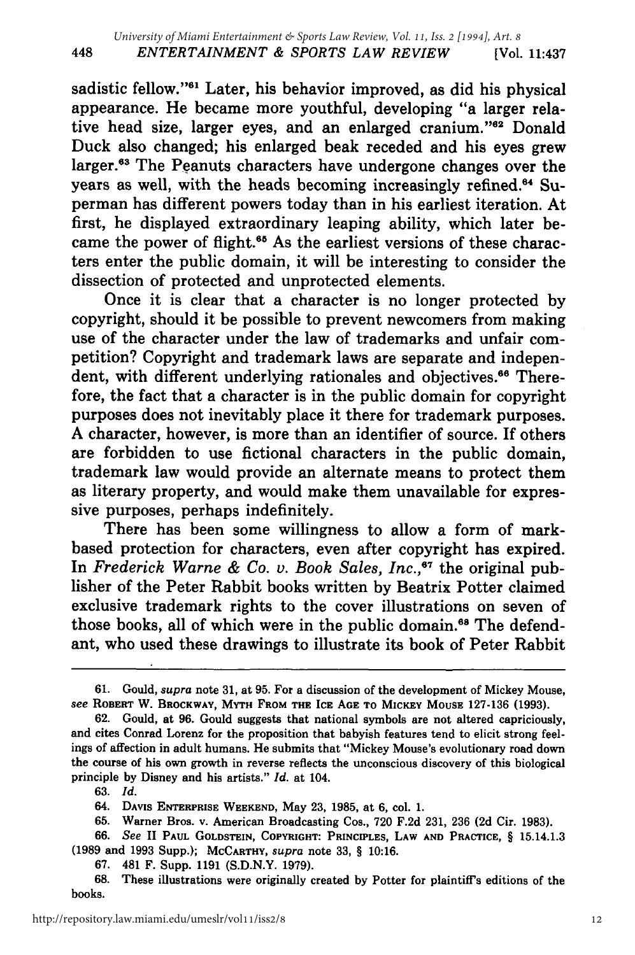sadistic fellow."61 Later, his behavior improved, as did his physical appearance. He became more youthful, developing "a larger relative head size, larger eyes, and an enlarged cranium."<sup>62</sup> Donald Duck also changed; his enlarged beak receded and his eyes grew larger.<sup>63</sup> The Peanuts characters have undergone changes over the years as well, with the heads becoming increasingly refined.<sup>64</sup> Superman has different powers today than in his earliest iteration. At first, he displayed extraordinary leaping ability, which later became the power of flight.<sup>65</sup> As the earliest versions of these characters enter the public domain, it will be interesting to consider the dissection of protected and unprotected elements.

Once it is clear that a character is no longer protected by copyright, should it be possible to prevent newcomers from making use of the character under the law of trademarks and unfair competition? Copyright and trademark laws are separate and independent, with different underlying rationales and objectives.<sup>66</sup> Therefore, the fact that a character is in the public domain for copyright purposes does not inevitably place it there for trademark purposes. A character, however, is more than an identifier of source. If others are forbidden to use fictional characters in the public domain, trademark law would provide an alternate means to protect them as literary property, and would make them unavailable for expressive purposes, perhaps indefinitely.

There has been some willingness to allow a form of markbased protection for characters, even after copyright has expired. In *Frederick Warne & Co. v. Book Sales, Inc.,67* the original publisher of the Peter Rabbit books written by Beatrix Potter claimed exclusive trademark rights to the cover illustrations on seven of those books, all of which were in the public domain.<sup>68</sup> The defendant, who used these drawings to illustrate its book of Peter Rabbit

<sup>61.</sup> Gould, *supra* note 31, at **95.** For a discussion of the development of Mickey Mouse, *see* **ROBERT** W. **BROCKWAY,** MYTH **FROM THE ICE AGE TO MICKEY MOUSE 127-136 (1993).**

**<sup>62.</sup>** Gould, at **96.** Gould suggests that national symbols are not altered capriciously, and cites Conrad Lorenz for the proposition that babyish features tend to elicit strong feelings of affection in adult humans. He submits that "Mickey Mouse's evolutionary road down the course of his own growth in reverse reflects the unconscious discovery of this biological principle **by** Disney and his artists." *Id.* at 104.

<sup>63.</sup> *Id.*

<sup>64.</sup> **DAVIs ENTERPRISE WEEKEND,** May 23, 1985, at 6, col. 1.

<sup>65.</sup> Warner Bros. v. American Broadcasting Cos., 720 F.2d 231, 236 **(2d** Cir. 1983).

<sup>66.</sup> *See* **II PAUL GOLDSTEIN, COPYRIGHT: PRINCIPLES, LAW AND PRACTICE,** § 15.14.1.3 **(1989** and **1993** Supp.); **MCCARTHY,** *supra* **note 33,** § **10:16.**

**<sup>67.</sup>** 481 F. Supp. **1191 (S.D.N.Y. 1979).**

**<sup>68.</sup>** These illustrations were originally created **by** Potter for plaintiff's editions of the books.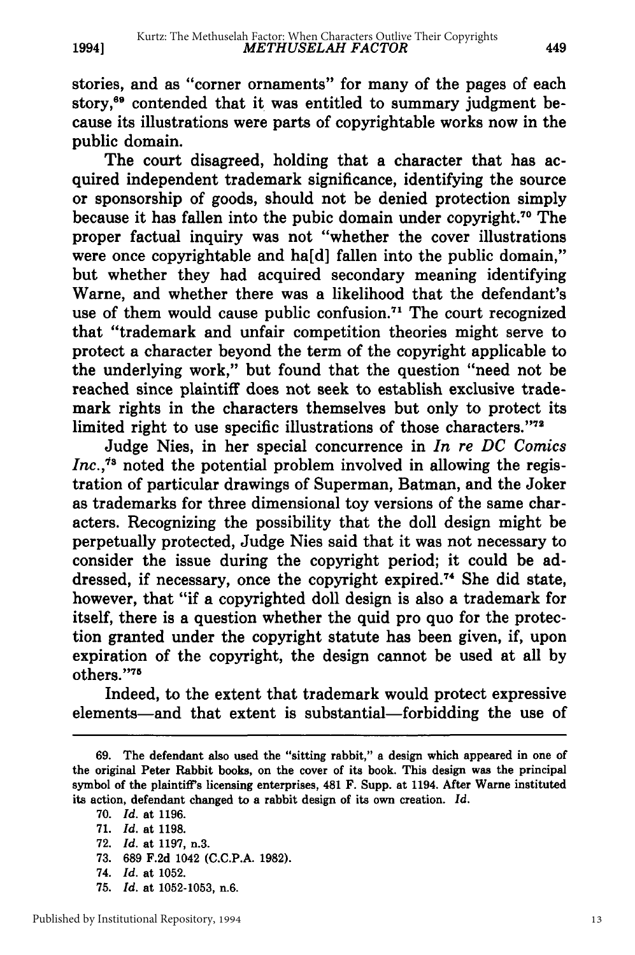stories, and as "corner ornaments" for many of the pages of each story,<sup>69</sup> contended that it was entitled to summary judgment because its illustrations were parts of copyrightable works now in the public domain.

The court disagreed, holding that a character that has acquired independent trademark significance, identifying the source or sponsorship of goods, should not be denied protection simply because it has fallen into the pubic domain under copyright.<sup>70</sup> The proper factual inquiry was not "whether the cover illustrations were once copyrightable and ha[d] fallen into the public domain," but whether they had acquired secondary meaning identifying Warne, and whether there was a likelihood that the defendant's use of them would cause public confusion.<sup>71</sup> The court recognized that "trademark and unfair competition theories might serve to protect a character beyond the term of the copyright applicable to the underlying work," but found that the question "need not be reached since plaintiff does not seek to establish exclusive trademark rights in the characters themselves but only to protect its limited right to use specific illustrations of those characters."72

Judge Nies, in her special concurrence in *In re DC Comics Inc./8* noted the potential problem involved in allowing the registration of particular drawings of Superman, Batman, and the Joker as trademarks for three dimensional toy versions of the same characters. Recognizing the possibility that the doll design might be perpetually protected, Judge Nies said that it was not necessary to consider the issue during the copyright period; it could be addressed, if necessary, once the copyright expired.74 She did state, however, that "if a copyrighted doll design is also a trademark for itself, there is a question whether the quid pro quo for the protection granted under the copyright statute has been given, if, upon expiration of the copyright, the design cannot be used at all by others. '75

Indeed, to the extent that trademark would protect expressive elements-and that extent is substantial-forbidding the use of

**1994]**

**75.** *Id.* at **1052-1053,** n.6.

**<sup>69.</sup>** The defendant also used the "sitting rabbit," a design which appeared in one of the original Peter Rabbit books, on the cover of its book. This design was the principal symbol of the plaintiff's licensing enterprises, 481 F. Supp. at 1194. After Warne instituted its action, defendant changed to a rabbit design of its own creation. Id.

**<sup>70.</sup>** *Id.* at **1196.**

**<sup>71.</sup>** *Id.* at **1198.**

**<sup>72.</sup>** *Id.* at **1197,** n.3.

**<sup>73. 689</sup> F.2d** 1042 **(C.C.P.A. 1982).**

<sup>74.</sup> *Id.* at **1052.**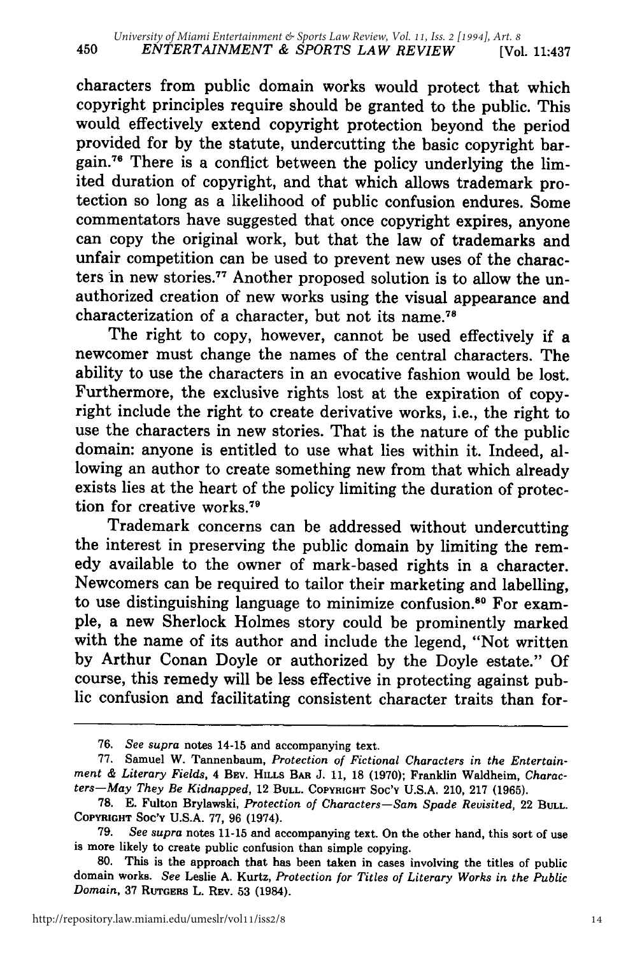characters from public domain works would protect that which copyright principles require should be granted to the public. This would effectively extend copyright protection beyond the period provided for by the statute, undercutting the basic copyright bargain.<sup>76</sup> There is a conflict between the policy underlying the limited duration of copyright, and that which allows trademark protection so long as a likelihood of public confusion endures. Some commentators have suggested that once copyright expires, anyone can copy the original work, but that the law of trademarks and unfair competition can be used to prevent new uses of the characters in new stories.77 Another proposed solution is to allow the unauthorized creation of new works using the visual appearance and characterization of a character, but not its name. <sup>78</sup>

The right to copy, however, cannot be used effectively if a newcomer must change the names of the central characters. The ability to use the characters in an evocative fashion would be lost. Furthermore, the exclusive rights lost at the expiration of copyright include the right to create derivative works, i.e., the right to use the characters in new stories. That is the nature of the public domain: anyone is entitled to use what lies within it. Indeed, allowing an author to create something new from that which already exists lies at the heart of the policy limiting the duration of protection for creative works.<sup>79</sup>

Trademark concerns can be addressed without undercutting the interest in preserving the public domain by limiting the remedy available to the owner of mark-based rights in a character. Newcomers can be required to tailor their marketing and labelling, to use distinguishing language to minimize confusion.<sup>80</sup> For example, a new Sherlock Holmes story could be prominently marked with the name of its author and include the legend, "Not written by Arthur Conan Doyle or authorized by the Doyle estate." Of course, this remedy will be less effective in protecting against public confusion and facilitating consistent character traits than for-

<sup>76.</sup> *See supra* notes 14-15 and accompanying text.

<sup>77.</sup> Samuel W. Tannenbaum, *Protection of Fictional Characters in the Entertain- ment & Literary Fields,* 4 **BEY. HILLS BAR J. 11, 18 (1970);** Franklin Waldheim, *Characters-May They Be Kidnapped,* **12 BULL. COPYRIGHT Soc'¥ U.S.A.** 210, **217 (1965).**

<sup>78.</sup> E. Fulton Brylawski, *Protection of Characters-Sam Spade Revisited,* <sup>22</sup>**BULL. COPYRIGHT SOC'¥ U.S.A. 77, 96** (1974).

<sup>79.</sup> *See supra* notes **11-15** and accompanying text. On the other hand, this sort of **use is** more likely to create public confusion than simple copying.

<sup>80.</sup> This is the approach that has been taken in cases involving the titles of public domain works. *See* Leslie **A.** Kurtz, *Protection for Titles of Literary Works in the Public Domain,* 37 **RUTGERS** L. REV. **53** (1984).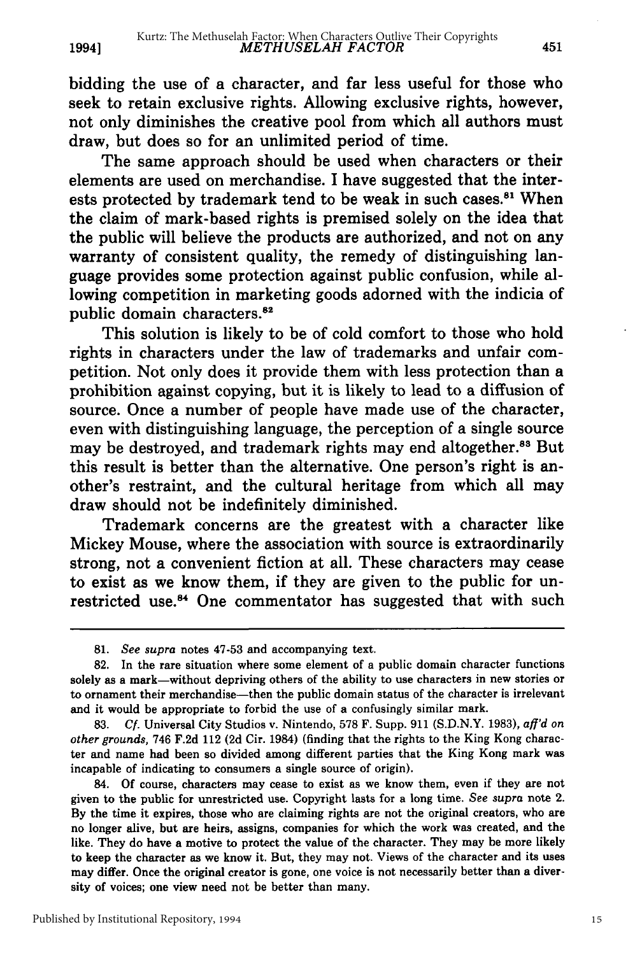bidding the use of a character, and far less useful for those who seek to retain exclusive rights. Allowing exclusive rights, however, not only diminishes the creative pool from which all authors must draw, but does so for an unlimited period of time.

The same approach should be used when characters or their elements are used on merchandise. I have suggested that the interests protected by trademark tend to be weak in such cases.<sup>81</sup> When the claim of mark-based rights is premised solely on the idea that the public will believe the products are authorized, and not on any warranty of consistent quality, the remedy of distinguishing language provides some protection against public confusion, while allowing competition in marketing goods adorned with the indicia of public domain characters.<sup>82</sup>

This solution is likely to be of cold comfort to those who hold rights in characters under the law of trademarks and unfair competition. Not only does it provide them with less protection than a prohibition against copying, but it is likely to lead to a diffusion of source. Once a number of people have made use of the character, even with distinguishing language, the perception of a single source may be destroyed, and trademark rights may end altogether.<sup>83</sup> But this result is better than the alternative. One person's right is another's restraint, and the cultural heritage from which all may draw should not be indefinitely diminished.

Trademark concerns are the greatest with a character like Mickey Mouse, where the association with source is extraordinarily strong, not a convenient fiction at all. These characters may cease to exist as we know them, if they are given to the public for unrestricted use.<sup>84</sup> One commentator has suggested that with such

**1994]**

*<sup>81.</sup> See supra* notes 47-53 and accompanying text.

<sup>82.</sup> In the rare situation where some element of a public domain character functions solely as a mark-without depriving others of the ability to use characters in new stories or to ornament their merchandise—then the public domain status of the character is irrelevant and it would be appropriate to forbid the use of a confusingly similar mark.

**<sup>83.</sup> Cf.** Universal City Studios v. Nintendo, **578** F. Supp. **911 (S.D.N.Y. 1983),** *aff'd on other grounds,* 746 **F.2d** 112 **(2d** Cir. 1984) (finding that the rights to the King Kong character and name had been so divided among different parties that the King Kong mark was incapable of indicating to consumers a single source of origin).

<sup>84.</sup> **Of** course, characters may cease to exist as we know them, even if they are not given to the public for unrestricted use. Copyright lasts for a long time. *See supra* note 2. **By** the time it expires, those who are claiming rights are not the original creators, who are no longer alive, but are heirs, assigns, companies for which the work was created, and the like. They do have a motive to protect the value of the character. They may be more likely to keep the character as we know it. But, they may not. Views of the character and its uses may differ. Once the original creator is gone, one voice is not necessarily better than a diversity of voices; one view need not be better than many.